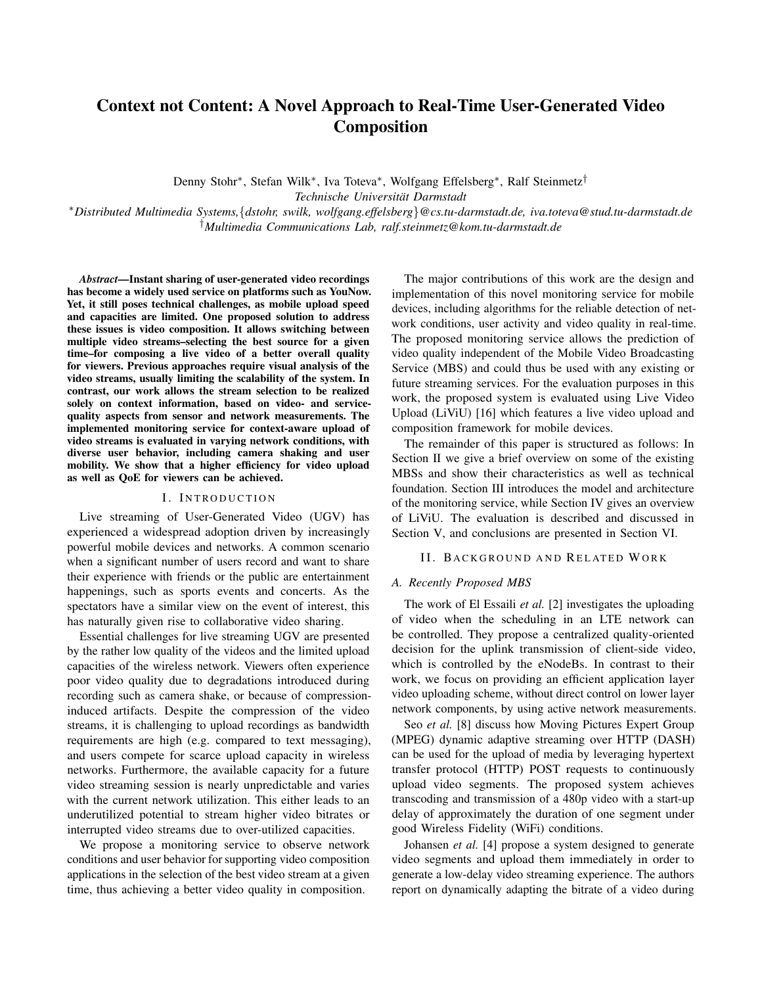# Context not Content: A Novel Approach to Real-Time User-Generated Video Composition

Denny Stohr<sup>∗</sup>, Stefan Wilk<sup>∗</sup>, Iva Toteva<sup>∗</sup>, Wolfgang Effelsberg<sup>∗</sup>, Ralf Steinmetz<sup>†</sup> *Technische Universitat Darmstadt ¨* <sup>∗</sup>*Distributed Multimedia Systems,*{*dstohr, swilk, wolfgang.effelsberg*}*@cs.tu-darmstadt.de, iva.toteva@stud.tu-darmstadt.de* †*Multimedia Communications Lab, ralf.steinmetz@kom.tu-darmstadt.de*

*Abstract*—Instant sharing of user-generated video recordings has become a widely used service on platforms such as YouNow. Yet, it still poses technical challenges, as mobile upload speed and capacities are limited. One proposed solution to address these issues is video composition. It allows switching between multiple video streams–selecting the best source for a given time–for composing a live video of a better overall quality for viewers. Previous approaches require visual analysis of the video streams, usually limiting the scalability of the system. In contrast, our work allows the stream selection to be realized solely on context information, based on video- and servicequality aspects from sensor and network measurements. The implemented monitoring service for context-aware upload of video streams is evaluated in varying network conditions, with diverse user behavior, including camera shaking and user mobility. We show that a higher efficiency for video upload as well as QoE for viewers can be achieved.

# I. INTRODUCTION

Live streaming of User-Generated Video (UGV) has experienced a widespread adoption driven by increasingly powerful mobile devices and networks. A common scenario when a significant number of users record and want to share their experience with friends or the public are entertainment happenings, such as sports events and concerts. As the spectators have a similar view on the event of interest, this has naturally given rise to collaborative video sharing.

Essential challenges for live streaming UGV are presented by the rather low quality of the videos and the limited upload capacities of the wireless network. Viewers often experience poor video quality due to degradations introduced during recording such as camera shake, or because of compressioninduced artifacts. Despite the compression of the video streams, it is challenging to upload recordings as bandwidth requirements are high (e.g. compared to text messaging), and users compete for scarce upload capacity in wireless networks. Furthermore, the available capacity for a future video streaming session is nearly unpredictable and varies with the current network utilization. This either leads to an underutilized potential to stream higher video bitrates or interrupted video streams due to over-utilized capacities.

We propose a monitoring service to observe network conditions and user behavior for supporting video composition applications in the selection of the best video stream at a given time, thus achieving a better video quality in composition.

The major contributions of this work are the design and implementation of this novel monitoring service for mobile devices, including algorithms for the reliable detection of network conditions, user activity and video quality in real-time. The proposed monitoring service allows the prediction of video quality independent of the Mobile Video Broadcasting Service (MBS) and could thus be used with any existing or future streaming services. For the evaluation purposes in this work, the proposed system is evaluated using Live Video Upload (LiViU) [\[16\]](#page-5-0) which features a live video upload and composition framework for mobile devices.

The remainder of this paper is structured as follows: In Section [II](#page-0-0) we give a brief overview on some of the existing MBSs and show their characteristics as well as technical foundation. Section [III](#page-1-0) introduces the model and architecture of the monitoring service, while Section [IV](#page-3-0) gives an overview of LiViU. The evaluation is described and discussed in Section [V,](#page-3-1) and conclusions are presented in Section [VI.](#page-5-1)

### <span id="page-0-0"></span>II. BACKGROUND AND RELATED WORK

# *A. Recently Proposed MBS*

The work of El Essaili *et al.* [\[2\]](#page-5-2) investigates the uploading of video when the scheduling in an LTE network can be controlled. They propose a centralized quality-oriented decision for the uplink transmission of client-side video, which is controlled by the eNodeBs. In contrast to their work, we focus on providing an efficient application layer video uploading scheme, without direct control on lower layer network components, by using active network measurements.

Seo *et al.* [\[8\]](#page-5-3) discuss how Moving Pictures Expert Group (MPEG) dynamic adaptive streaming over HTTP (DASH) can be used for the upload of media by leveraging hypertext transfer protocol (HTTP) POST requests to continuously upload video segments. The proposed system achieves transcoding and transmission of a 480p video with a start-up delay of approximately the duration of one segment under good Wireless Fidelity (WiFi) conditions.

Johansen *et al.* [\[4\]](#page-5-4) propose a system designed to generate video segments and upload them immediately in order to generate a low-delay video streaming experience. The authors report on dynamically adapting the bitrate of a video during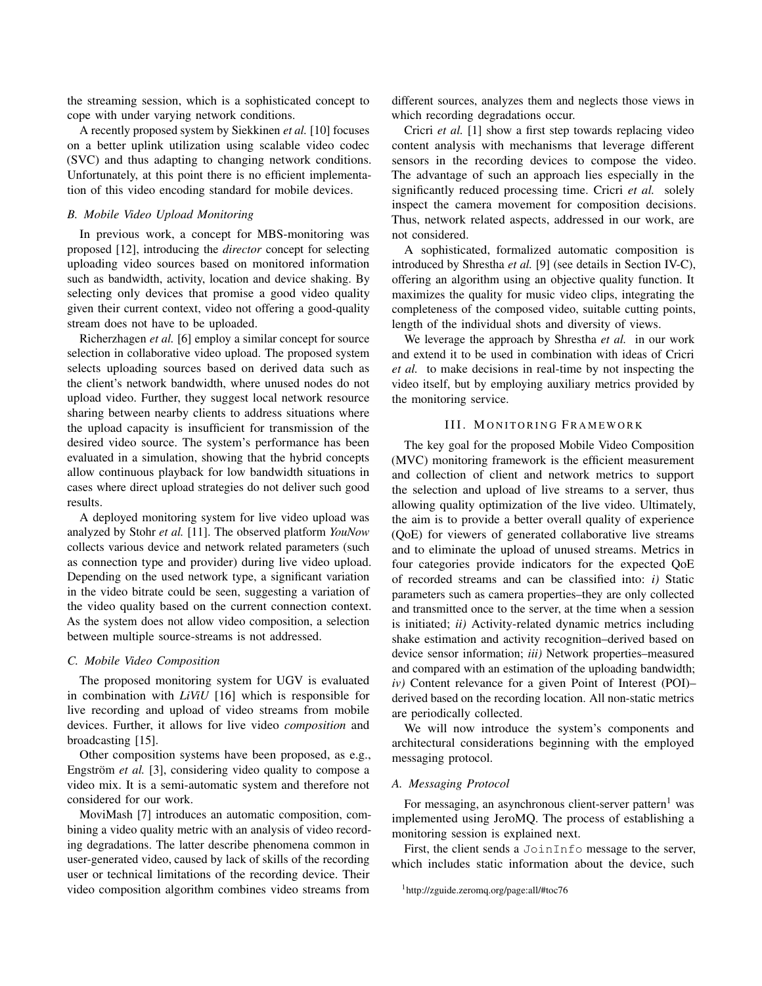the streaming session, which is a sophisticated concept to cope with under varying network conditions.

A recently proposed system by Siekkinen *et al.* [\[10\]](#page-5-5) focuses on a better uplink utilization using scalable video codec (SVC) and thus adapting to changing network conditions. Unfortunately, at this point there is no efficient implementation of this video encoding standard for mobile devices.

# *B. Mobile Video Upload Monitoring*

In previous work, a concept for MBS-monitoring was proposed [\[12\]](#page-5-6), introducing the *director* concept for selecting uploading video sources based on monitored information such as bandwidth, activity, location and device shaking. By selecting only devices that promise a good video quality given their current context, video not offering a good-quality stream does not have to be uploaded.

Richerzhagen *et al.* [\[6\]](#page-5-7) employ a similar concept for source selection in collaborative video upload. The proposed system selects uploading sources based on derived data such as the client's network bandwidth, where unused nodes do not upload video. Further, they suggest local network resource sharing between nearby clients to address situations where the upload capacity is insufficient for transmission of the desired video source. The system's performance has been evaluated in a simulation, showing that the hybrid concepts allow continuous playback for low bandwidth situations in cases where direct upload strategies do not deliver such good results.

A deployed monitoring system for live video upload was analyzed by Stohr *et al.* [\[11\]](#page-5-8). The observed platform *YouNow* collects various device and network related parameters (such as connection type and provider) during live video upload. Depending on the used network type, a significant variation in the video bitrate could be seen, suggesting a variation of the video quality based on the current connection context. As the system does not allow video composition, a selection between multiple source-streams is not addressed.

### *C. Mobile Video Composition*

The proposed monitoring system for UGV is evaluated in combination with *LiViU* [\[16\]](#page-5-0) which is responsible for live recording and upload of video streams from mobile devices. Further, it allows for live video *composition* and broadcasting [\[15\]](#page-5-9).

Other composition systems have been proposed, as e.g., Engström et al. [\[3\]](#page-5-10), considering video quality to compose a video mix. It is a semi-automatic system and therefore not considered for our work.

MoviMash [\[7\]](#page-5-11) introduces an automatic composition, combining a video quality metric with an analysis of video recording degradations. The latter describe phenomena common in user-generated video, caused by lack of skills of the recording user or technical limitations of the recording device. Their video composition algorithm combines video streams from

different sources, analyzes them and neglects those views in which recording degradations occur.

Cricri *et al.* [\[1\]](#page-5-12) show a first step towards replacing video content analysis with mechanisms that leverage different sensors in the recording devices to compose the video. The advantage of such an approach lies especially in the significantly reduced processing time. Cricri *et al.* solely inspect the camera movement for composition decisions. Thus, network related aspects, addressed in our work, are not considered.

A sophisticated, formalized automatic composition is introduced by Shrestha *et al.* [\[9\]](#page-5-13) (see details in Section [IV-C\)](#page-3-2), offering an algorithm using an objective quality function. It maximizes the quality for music video clips, integrating the completeness of the composed video, suitable cutting points, length of the individual shots and diversity of views.

We leverage the approach by Shrestha *et al.* in our work and extend it to be used in combination with ideas of Cricri *et al.* to make decisions in real-time by not inspecting the video itself, but by employing auxiliary metrics provided by the monitoring service.

# III. MONITORING FRAMEWORK

<span id="page-1-0"></span>The key goal for the proposed Mobile Video Composition (MVC) monitoring framework is the efficient measurement and collection of client and network metrics to support the selection and upload of live streams to a server, thus allowing quality optimization of the live video. Ultimately, the aim is to provide a better overall quality of experience (QoE) for viewers of generated collaborative live streams and to eliminate the upload of unused streams. Metrics in four categories provide indicators for the expected QoE of recorded streams and can be classified into: *i)* Static parameters such as camera properties–they are only collected and transmitted once to the server, at the time when a session is initiated; *ii)* Activity-related dynamic metrics including shake estimation and activity recognition–derived based on device sensor information; *iii)* Network properties–measured and compared with an estimation of the uploading bandwidth; *iv)* Content relevance for a given Point of Interest (POI)– derived based on the recording location. All non-static metrics are periodically collected.

We will now introduce the system's components and architectural considerations beginning with the employed messaging protocol.

#### *A. Messaging Protocol*

For messaging, an asynchronous client-server pattern<sup>[1](#page-1-1)</sup> was implemented using JeroMQ. The process of establishing a monitoring session is explained next.

First, the client sends a JoinInfo message to the server, which includes static information about the device, such

<span id="page-1-1"></span><sup>1</sup><http://zguide.zeromq.org/page:all/#toc76>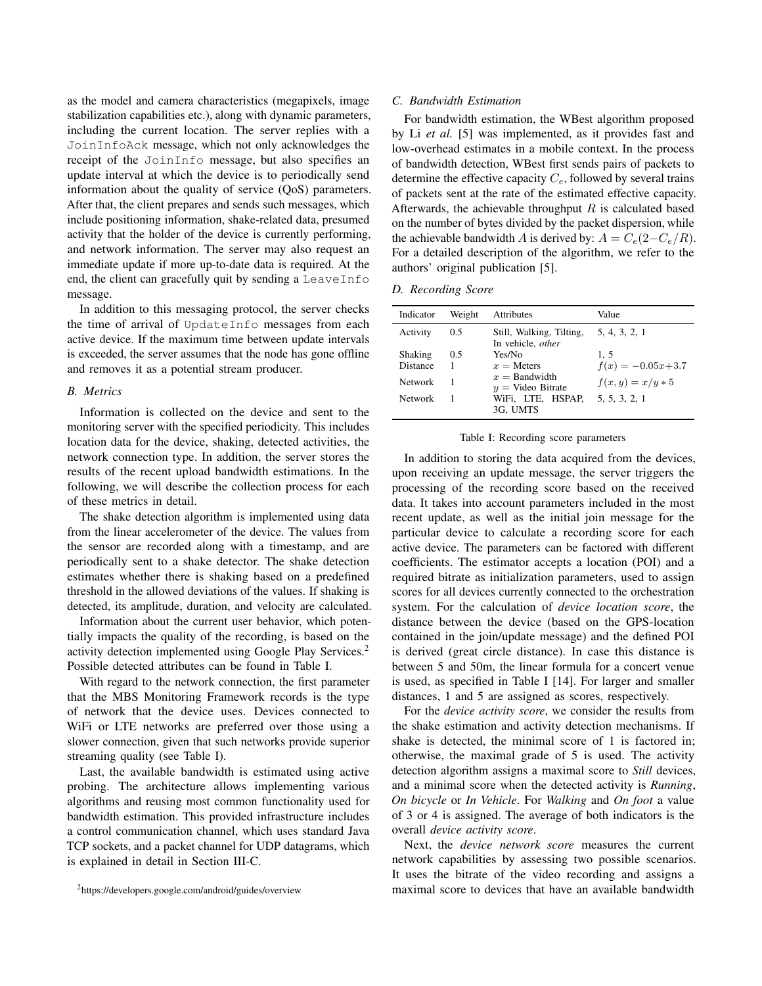as the model and camera characteristics (megapixels, image stabilization capabilities etc.), along with dynamic parameters, including the current location. The server replies with a JoinInfoAck message, which not only acknowledges the receipt of the JoinInfo message, but also specifies an update interval at which the device is to periodically send information about the quality of service (QoS) parameters. After that, the client prepares and sends such messages, which include positioning information, shake-related data, presumed activity that the holder of the device is currently performing, and network information. The server may also request an immediate update if more up-to-date data is required. At the end, the client can gracefully quit by sending a LeaveInfo message.

In addition to this messaging protocol, the server checks the time of arrival of UpdateInfo messages from each active device. If the maximum time between update intervals is exceeded, the server assumes that the node has gone offline and removes it as a potential stream producer.

# *B. Metrics*

Information is collected on the device and sent to the monitoring server with the specified periodicity. This includes location data for the device, shaking, detected activities, the network connection type. In addition, the server stores the results of the recent upload bandwidth estimations. In the following, we will describe the collection process for each of these metrics in detail.

The shake detection algorithm is implemented using data from the linear accelerometer of the device. The values from the sensor are recorded along with a timestamp, and are periodically sent to a shake detector. The shake detection estimates whether there is shaking based on a predefined threshold in the allowed deviations of the values. If shaking is detected, its amplitude, duration, and velocity are calculated.

Information about the current user behavior, which potentially impacts the quality of the recording, is based on the activity detection implemented using Google Play Services.[2](#page-2-0) Possible detected attributes can be found in Table [I.](#page-2-1)

With regard to the network connection, the first parameter that the MBS Monitoring Framework records is the type of network that the device uses. Devices connected to WiFi or LTE networks are preferred over those using a slower connection, given that such networks provide superior streaming quality (see Table [I\)](#page-2-1).

Last, the available bandwidth is estimated using active probing. The architecture allows implementing various algorithms and reusing most common functionality used for bandwidth estimation. This provided infrastructure includes a control communication channel, which uses standard Java TCP sockets, and a packet channel for UDP datagrams, which is explained in detail in Section [III-C.](#page-2-2)

### <span id="page-2-2"></span>*C. Bandwidth Estimation*

For bandwidth estimation, the WBest algorithm proposed by Li *et al.* [\[5\]](#page-5-14) was implemented, as it provides fast and low-overhead estimates in a mobile context. In the process of bandwidth detection, WBest first sends pairs of packets to determine the effective capacity  $C_e$ , followed by several trains of packets sent at the rate of the estimated effective capacity. Afterwards, the achievable throughput  $R$  is calculated based on the number of bytes divided by the packet dispersion, while the achievable bandwidth A is derived by:  $A = C_e(2-C_e/R)$ . For a detailed description of the algorithm, we refer to the authors' original publication [\[5\]](#page-5-14).

|  | D. Recording Score |  |
|--|--------------------|--|
|--|--------------------|--|

<span id="page-2-1"></span>

| Indicator       | Weight | Attributes                                    | Value                 |
|-----------------|--------|-----------------------------------------------|-----------------------|
| Activity        | 0.5    | Still, Walking, Tilting,<br>In vehicle, other | 5, 4, 3, 2, 1         |
| Shaking         | 0.5    | Yes/No                                        | 1.5                   |
| <b>Distance</b> |        | $x =$ Meters                                  | $f(x) = -0.05x + 3.7$ |
| <b>Network</b>  | 1      | $x =$ Bandwidth<br>$y =$ Video Bitrate        | $f(x, y) = x/y * 5$   |
| <b>Network</b>  |        | WiFi, LTE, HSPAP.                             | 5, 5, 3, 2, 1         |
|                 |        | 3G. UMTS                                      |                       |

#### Table I: Recording score parameters

In addition to storing the data acquired from the devices, upon receiving an update message, the server triggers the processing of the recording score based on the received data. It takes into account parameters included in the most recent update, as well as the initial join message for the particular device to calculate a recording score for each active device. The parameters can be factored with different coefficients. The estimator accepts a location (POI) and a required bitrate as initialization parameters, used to assign scores for all devices currently connected to the orchestration system. For the calculation of *device location score*, the distance between the device (based on the GPS-location contained in the join/update message) and the defined POI is derived (great circle distance). In case this distance is between 5 and 50m, the linear formula for a concert venue is used, as specified in Table [I](#page-2-1) [\[14\]](#page-5-15). For larger and smaller distances, 1 and 5 are assigned as scores, respectively.

For the *device activity score*, we consider the results from the shake estimation and activity detection mechanisms. If shake is detected, the minimal score of 1 is factored in; otherwise, the maximal grade of 5 is used. The activity detection algorithm assigns a maximal score to *Still* devices, and a minimal score when the detected activity is *Running*, *On bicycle* or *In Vehicle*. For *Walking* and *On foot* a value of 3 or 4 is assigned. The average of both indicators is the overall *device activity score*.

Next, the *device network score* measures the current network capabilities by assessing two possible scenarios. It uses the bitrate of the video recording and assigns a maximal score to devices that have an available bandwidth

<span id="page-2-0"></span><sup>2</sup>https://developers.google.com/android/guides/overview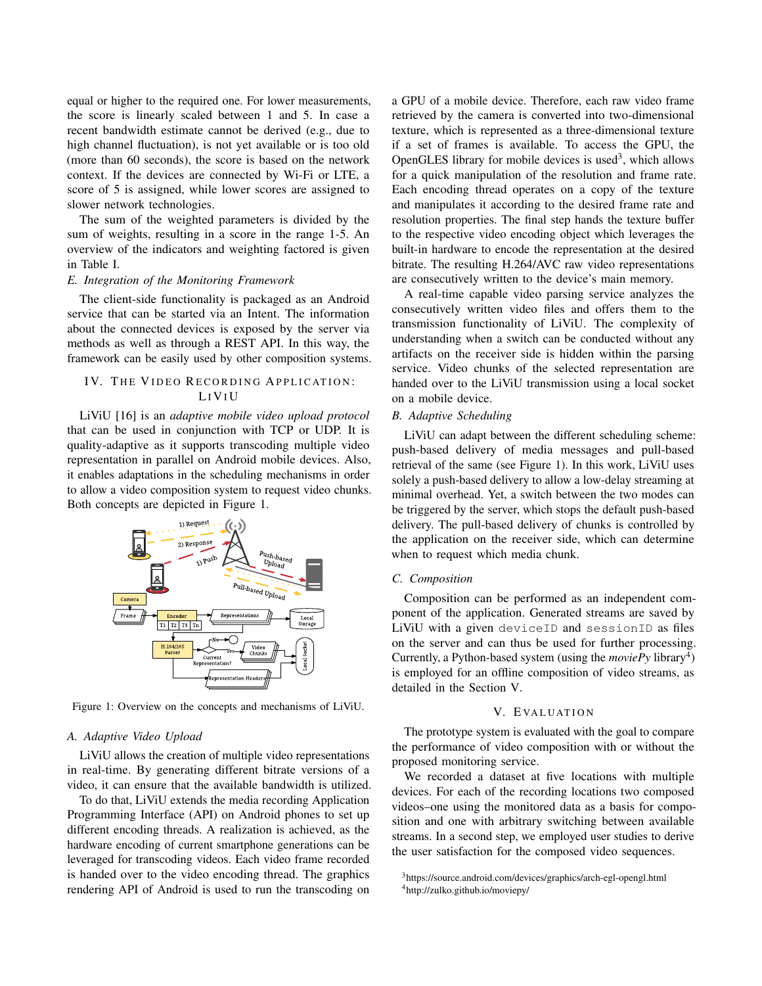equal or higher to the required one. For lower measurements, the score is linearly scaled between 1 and 5. In case a recent bandwidth estimate cannot be derived (e.g., due to high channel fluctuation), is not yet available or is too old (more than 60 seconds), the score is based on the network context. If the devices are connected by Wi-Fi or LTE, a score of 5 is assigned, while lower scores are assigned to slower network technologies.

The sum of the weighted parameters is divided by the sum of weights, resulting in a score in the range 1-5. An overview of the indicators and weighting factored is given in Table [I.](#page-2-1)

# *E. Integration of the Monitoring Framework*

The client-side functionality is packaged as an Android service that can be started via an Intent. The information about the connected devices is exposed by the server via methods as well as through a REST API. In this way, the framework can be easily used by other composition systems.

# <span id="page-3-0"></span>IV. THE VIDEO RECORDING APPLICATION: LI V I U

LiViU [\[16\]](#page-5-0) is an *adaptive mobile video upload protocol* that can be used in conjunction with TCP or UDP. It is quality-adaptive as it supports transcoding multiple video representation in parallel on Android mobile devices. Also, it enables adaptations in the scheduling mechanisms in order to allow a video composition system to request video chunks. Both concepts are depicted in Figure [1.](#page-3-3)

<span id="page-3-3"></span>

Figure 1: Overview on the concepts and mechanisms of LiViU.

### *A. Adaptive Video Upload*

LiViU allows the creation of multiple video representations in real-time. By generating different bitrate versions of a video, it can ensure that the available bandwidth is utilized.

To do that, LiViU extends the media recording Application Programming Interface (API) on Android phones to set up different encoding threads. A realization is achieved, as the hardware encoding of current smartphone generations can be leveraged for transcoding videos. Each video frame recorded is handed over to the video encoding thread. The graphics rendering API of Android is used to run the transcoding on a GPU of a mobile device. Therefore, each raw video frame retrieved by the camera is converted into two-dimensional texture, which is represented as a three-dimensional texture if a set of frames is available. To access the GPU, the OpenGLES library for mobile devices is used<sup>[3](#page-3-4)</sup>, which allows for a quick manipulation of the resolution and frame rate. Each encoding thread operates on a copy of the texture and manipulates it according to the desired frame rate and resolution properties. The final step hands the texture buffer to the respective video encoding object which leverages the built-in hardware to encode the representation at the desired bitrate. The resulting H.264/AVC raw video representations are consecutively written to the device's main memory.

A real-time capable video parsing service analyzes the consecutively written video files and offers them to the transmission functionality of LiViU. The complexity of understanding when a switch can be conducted without any artifacts on the receiver side is hidden within the parsing service. Video chunks of the selected representation are handed over to the LiViU transmission using a local socket on a mobile device.

# *B. Adaptive Scheduling*

LiViU can adapt between the different scheduling scheme: push-based delivery of media messages and pull-based retrieval of the same (see Figure [1\)](#page-3-3). In this work, LiViU uses solely a push-based delivery to allow a low-delay streaming at minimal overhead. Yet, a switch between the two modes can be triggered by the server, which stops the default push-based delivery. The pull-based delivery of chunks is controlled by the application on the receiver side, which can determine when to request which media chunk.

### <span id="page-3-2"></span>*C. Composition*

Composition can be performed as an independent component of the application. Generated streams are saved by LiViU with a given deviceID and sessionID as files on the server and can thus be used for further processing. Currently, a Python-based system (using the *moviePy* library<sup>[4](#page-3-5)</sup>) is employed for an offline composition of video streams, as detailed in the Section [V.](#page-3-1)

# V. EVALUATION

<span id="page-3-1"></span>The prototype system is evaluated with the goal to compare the performance of video composition with or without the proposed monitoring service.

We recorded a dataset at five locations with multiple devices. For each of the recording locations two composed videos–one using the monitored data as a basis for composition and one with arbitrary switching between available streams. In a second step, we employed user studies to derive the user satisfaction for the composed video sequences.

<span id="page-3-5"></span><span id="page-3-4"></span><sup>3</sup>https://source.android.com/devices/graphics/arch-egl-opengl.html <sup>4</sup>http://zulko.github.io/moviepy/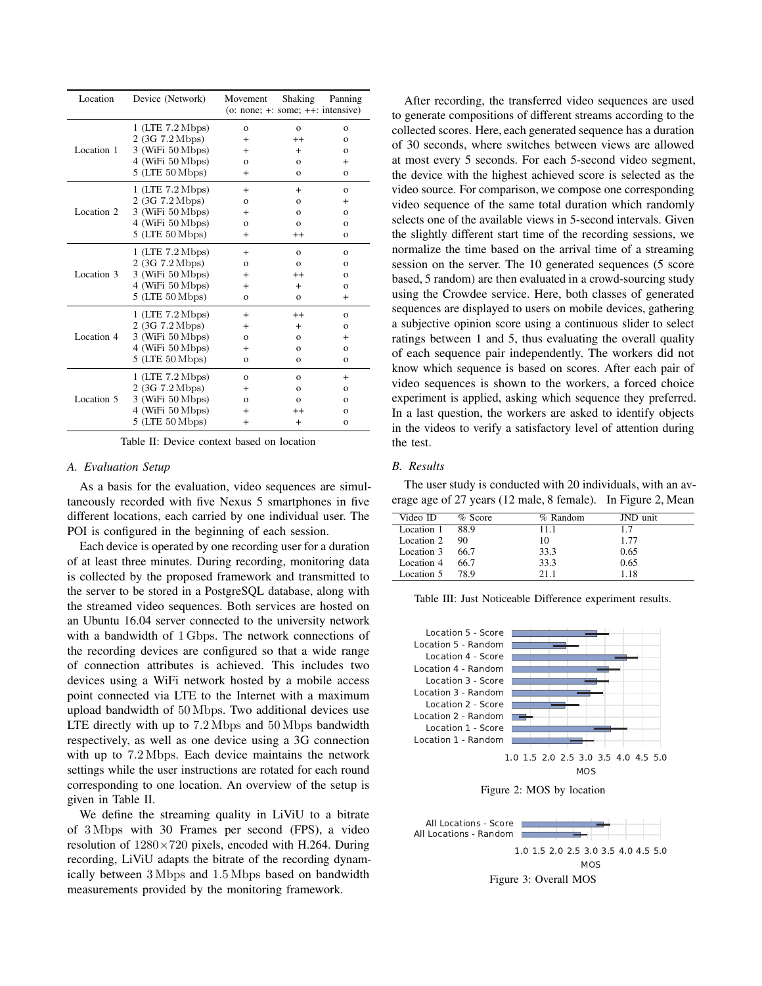<span id="page-4-0"></span>

| Location   | Device (Network)     | Movement<br>(o: none; $+$ : some; $++$ : intensive) | Shaking        | Panning      |
|------------|----------------------|-----------------------------------------------------|----------------|--------------|
|            | $1$ (LTE $7.2$ Mbps) | $\mathbf{o}$                                        | $\Omega$       | $\mathbf{o}$ |
|            | 2 (3G 7.2 Mbps)      | $\ddot{}$                                           | $^{++}$        | $\mathbf{o}$ |
| Location 1 | $3$ (WiFi $50$ Mbps) | +                                                   | $\ddot{}$      | $\mathbf{o}$ |
|            | 4 (WiFi 50 Mbps)     | $\Omega$                                            | $\Omega$       | $\ddot{}$    |
|            | $5$ (LTE $50$ Mbps)  | $\pm$                                               | $\Omega$       | $\mathbf{o}$ |
|            | $1$ (LTE $7.2$ Mbps) | $+$                                                 | $\pm$          | $\mathbf{o}$ |
|            | 2 (3G 7.2 Mbps)      | $\mathbf{o}$                                        | $\circ$        | $\pm$        |
| Location 2 | 3 (WiFi 50 Mbps)     | $\pm$                                               | $\Omega$       | $\mathbf{o}$ |
|            | 4 (WiFi 50 Mbps)     | $\Omega$                                            | $\Omega$       | $\Omega$     |
|            | $5$ (LTE $50$ Mbps)  | $\pm$                                               | $^{++}$        | $\mathbf{o}$ |
|            | $1$ (LTE $7.2$ Mbps) | $+$                                                 | $\mathbf{o}$   | $\mathbf{o}$ |
|            | 2 (3G 7.2 Mbps)      | $\Omega$                                            | $\Omega$       | $\Omega$     |
| Location 3 | $3$ (WiFi $50$ Mbps) | $\ddot{}$                                           | $^{++}$        | $\Omega$     |
|            | $4$ (WiFi $50$ Mbps) | $\ddot{}$                                           | $+$            | $\Omega$     |
|            | $5$ (LTE $50$ Mbps)  | $\mathbf{o}$                                        | $\mathbf{o}$   | $\pm$        |
|            | $1$ (LTE $7.2$ Mbps) | $+$                                                 | $^{++}$        | $\mathbf{o}$ |
|            | 2 (3G 7.2 Mbps)      | $\overline{+}$                                      | $\overline{+}$ | $\mathbf{o}$ |
| Location 4 | $3$ (WiFi $50$ Mbps) | $\circ$                                             | $\Omega$       | $\pm$        |
|            | $4$ (WiFi $50$ Mbps) | $\ddot{}$                                           | $\Omega$       | $\Omega$     |
|            | $5$ (LTE $50$ Mbps)  | $\mathbf{o}$                                        | 0              | $\mathbf{o}$ |
|            | $1$ (LTE $7.2$ Mbps) | $\mathbf{o}$                                        | $\mathbf{o}$   | $^{+}$       |
|            | 2 (3G 7.2 Mbps)      | $\ddot{}$                                           | $\Omega$       | $\mathbf{o}$ |
| Location 5 | 3 (WiFi 50 Mbps)     | $\circ$                                             | $\Omega$       | $\mathbf{o}$ |
|            | 4 (WiFi 50 Mbps)     | $\ddot{}$                                           | $^{++}$        | $\Omega$     |
|            | $5$ (LTE $50$ Mbps)  | $\pm$                                               | $^{+}$         | $\mathbf{o}$ |

Table II: Device context based on location

# *A. Evaluation Setup*

As a basis for the evaluation, video sequences are simultaneously recorded with five Nexus 5 smartphones in five different locations, each carried by one individual user. The POI is configured in the beginning of each session.

Each device is operated by one recording user for a duration of at least three minutes. During recording, monitoring data is collected by the proposed framework and transmitted to the server to be stored in a PostgreSQL database, along with the streamed video sequences. Both services are hosted on an Ubuntu 16.04 server connected to the university network with a bandwidth of 1 Gbps. The network connections of the recording devices are configured so that a wide range of connection attributes is achieved. This includes two devices using a WiFi network hosted by a mobile access point connected via LTE to the Internet with a maximum upload bandwidth of 50 Mbps. Two additional devices use LTE directly with up to 7.2 Mbps and 50 Mbps bandwidth respectively, as well as one device using a 3G connection with up to 7.2 Mbps. Each device maintains the network settings while the user instructions are rotated for each round corresponding to one location. An overview of the setup is given in Table [II.](#page-4-0)

We define the streaming quality in LiViU to a bitrate of 3 Mbps with 30 Frames per second (FPS), a video resolution of  $1280 \times 720$  pixels, encoded with H.264. During recording, LiViU adapts the bitrate of the recording dynamically between 3 Mbps and 1.5 Mbps based on bandwidth measurements provided by the monitoring framework.

After recording, the transferred video sequences are used to generate compositions of different streams according to the collected scores. Here, each generated sequence has a duration of 30 seconds, where switches between views are allowed at most every 5 seconds. For each 5-second video segment, the device with the highest achieved score is selected as the video source. For comparison, we compose one corresponding video sequence of the same total duration which randomly selects one of the available views in 5-second intervals. Given the slightly different start time of the recording sessions, we normalize the time based on the arrival time of a streaming session on the server. The 10 generated sequences (5 score based, 5 random) are then evaluated in a crowd-sourcing study using the Crowdee service. Here, both classes of generated sequences are displayed to users on mobile devices, gathering a subjective opinion score using a continuous slider to select ratings between 1 and 5, thus evaluating the overall quality of each sequence pair independently. The workers did not know which sequence is based on scores. After each pair of video sequences is shown to the workers, a forced choice experiment is applied, asking which sequence they preferred. In a last question, the workers are asked to identify objects in the videos to verify a satisfactory level of attention during the test.

# *B. Results*

The user study is conducted with 20 individuals, with an average age of 27 years (12 male, 8 female). In Figure [2,](#page-4-1) Mean

<span id="page-4-3"></span>

| Video ID   | $%$ Score | $%$ Random | JND unit |
|------------|-----------|------------|----------|
| Location 1 | 88.9      | 11.1       | 17       |
| Location 2 | 90        | 10         | 1.77     |
| Location 3 | 66.7      | 33.3       | 0.65     |
| Location 4 | 66.7      | 33.3       | 0.65     |
| Location 5 | 78.9      | 211        | 1.18     |

Table III: Just Noticeable Difference experiment results.

<span id="page-4-1"></span>

<span id="page-4-2"></span>